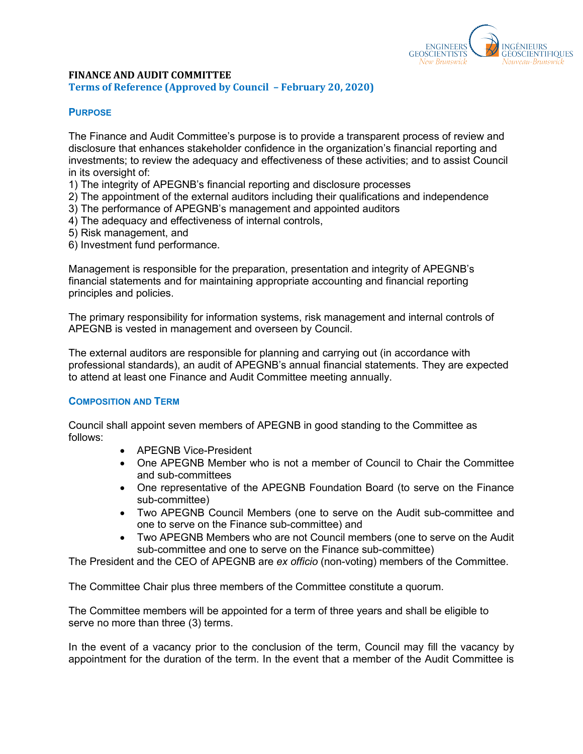

### **FINANCE AND AUDIT COMMITTEE Terms of Reference (Approved by Council – February 20, 2020)**

# **PURPOSE**

The Finance and Audit Committee's purpose is to provide a transparent process of review and disclosure that enhances stakeholder confidence in the organization's financial reporting and investments; to review the adequacy and effectiveness of these activities; and to assist Council in its oversight of:

- 1) The integrity of APEGNB's financial reporting and disclosure processes
- 2) The appointment of the external auditors including their qualifications and independence
- 3) The performance of APEGNB's management and appointed auditors
- 4) The adequacy and effectiveness of internal controls,
- 5) Risk management, and
- 6) Investment fund performance.

Management is responsible for the preparation, presentation and integrity of APEGNB's financial statements and for maintaining appropriate accounting and financial reporting principles and policies.

The primary responsibility for information systems, risk management and internal controls of APEGNB is vested in management and overseen by Council.

The external auditors are responsible for planning and carrying out (in accordance with professional standards), an audit of APEGNB's annual financial statements. They are expected to attend at least one Finance and Audit Committee meeting annually.

### **COMPOSITION AND TERM**

Council shall appoint seven members of APEGNB in good standing to the Committee as follows:

- APEGNB Vice-President
- One APEGNB Member who is not a member of Council to Chair the Committee and sub-committees
- One representative of the APEGNB Foundation Board (to serve on the Finance sub-committee)
- Two APEGNB Council Members (one to serve on the Audit sub-committee and one to serve on the Finance sub-committee) and
- Two APEGNB Members who are not Council members (one to serve on the Audit sub-committee and one to serve on the Finance sub-committee)

The President and the CEO of APEGNB are *ex officio* (non-voting) members of the Committee.

The Committee Chair plus three members of the Committee constitute a quorum.

The Committee members will be appointed for a term of three years and shall be eligible to serve no more than three (3) terms.

In the event of a vacancy prior to the conclusion of the term, Council may fill the vacancy by appointment for the duration of the term. In the event that a member of the Audit Committee is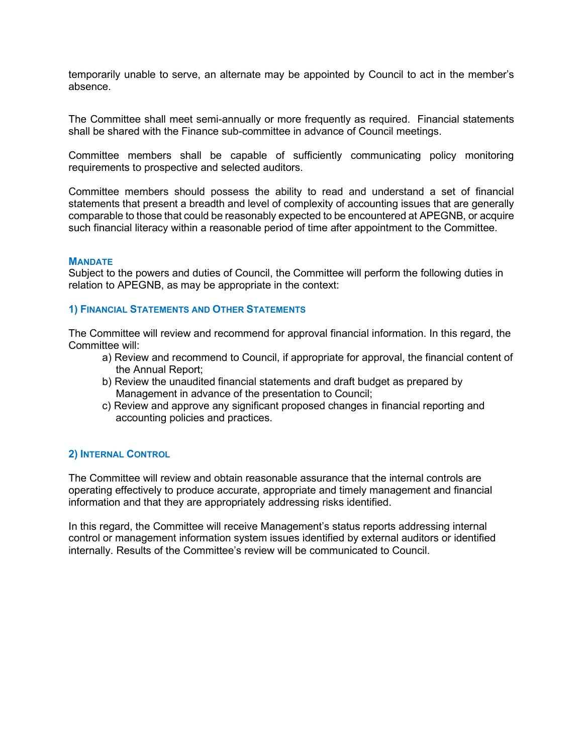temporarily unable to serve, an alternate may be appointed by Council to act in the member's absence.

The Committee shall meet semi-annually or more frequently as required. Financial statements shall be shared with the Finance sub-committee in advance of Council meetings.

Committee members shall be capable of sufficiently communicating policy monitoring requirements to prospective and selected auditors.

Committee members should possess the ability to read and understand a set of financial statements that present a breadth and level of complexity of accounting issues that are generally comparable to those that could be reasonably expected to be encountered at APEGNB, or acquire such financial literacy within a reasonable period of time after appointment to the Committee.

#### **MANDATE**

Subject to the powers and duties of Council, the Committee will perform the following duties in relation to APEGNB, as may be appropriate in the context:

### **1) FINANCIAL STATEMENTS AND OTHER STATEMENTS**

The Committee will review and recommend for approval financial information. In this regard, the Committee will:

- a) Review and recommend to Council, if appropriate for approval, the financial content of the Annual Report;
- b) Review the unaudited financial statements and draft budget as prepared by Management in advance of the presentation to Council;
- c) Review and approve any significant proposed changes in financial reporting and accounting policies and practices.

### **2) INTERNAL CONTROL**

The Committee will review and obtain reasonable assurance that the internal controls are operating effectively to produce accurate, appropriate and timely management and financial information and that they are appropriately addressing risks identified.

In this regard, the Committee will receive Management's status reports addressing internal control or management information system issues identified by external auditors or identified internally. Results of the Committee's review will be communicated to Council.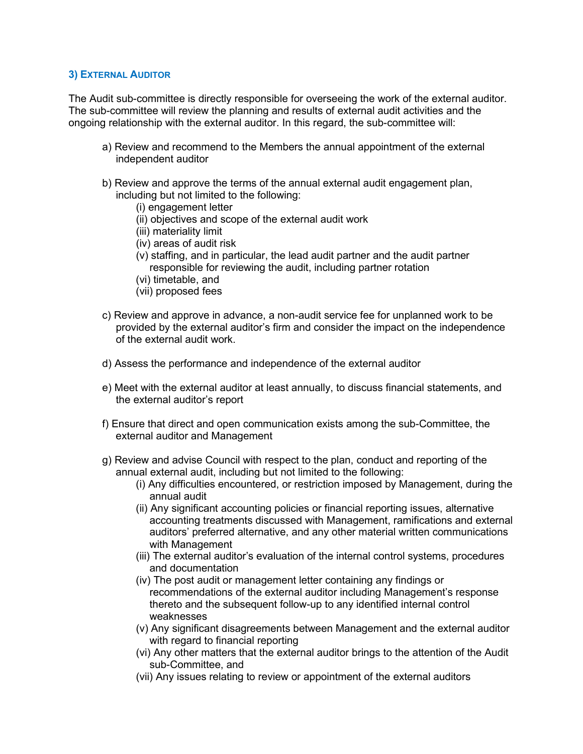# **3) EXTERNAL AUDITOR**

The Audit sub-committee is directly responsible for overseeing the work of the external auditor. The sub-committee will review the planning and results of external audit activities and the ongoing relationship with the external auditor. In this regard, the sub-committee will:

- a) Review and recommend to the Members the annual appointment of the external independent auditor
- b) Review and approve the terms of the annual external audit engagement plan, including but not limited to the following:
	- (i) engagement letter
	- (ii) objectives and scope of the external audit work
	- (iii) materiality limit
	- (iv) areas of audit risk
	- (v) staffing, and in particular, the lead audit partner and the audit partner responsible for reviewing the audit, including partner rotation
	- (vi) timetable, and
	- (vii) proposed fees
- c) Review and approve in advance, a non-audit service fee for unplanned work to be provided by the external auditor's firm and consider the impact on the independence of the external audit work.
- d) Assess the performance and independence of the external auditor
- e) Meet with the external auditor at least annually, to discuss financial statements, and the external auditor's report
- f) Ensure that direct and open communication exists among the sub-Committee, the external auditor and Management
- g) Review and advise Council with respect to the plan, conduct and reporting of the annual external audit, including but not limited to the following:
	- (i) Any difficulties encountered, or restriction imposed by Management, during the annual audit
	- (ii) Any significant accounting policies or financial reporting issues, alternative accounting treatments discussed with Management, ramifications and external auditors' preferred alternative, and any other material written communications with Management
	- (iii) The external auditor's evaluation of the internal control systems, procedures and documentation
	- (iv) The post audit or management letter containing any findings or recommendations of the external auditor including Management's response thereto and the subsequent follow-up to any identified internal control weaknesses
	- (v) Any significant disagreements between Management and the external auditor with regard to financial reporting
	- (vi) Any other matters that the external auditor brings to the attention of the Audit sub-Committee, and
	- (vii) Any issues relating to review or appointment of the external auditors